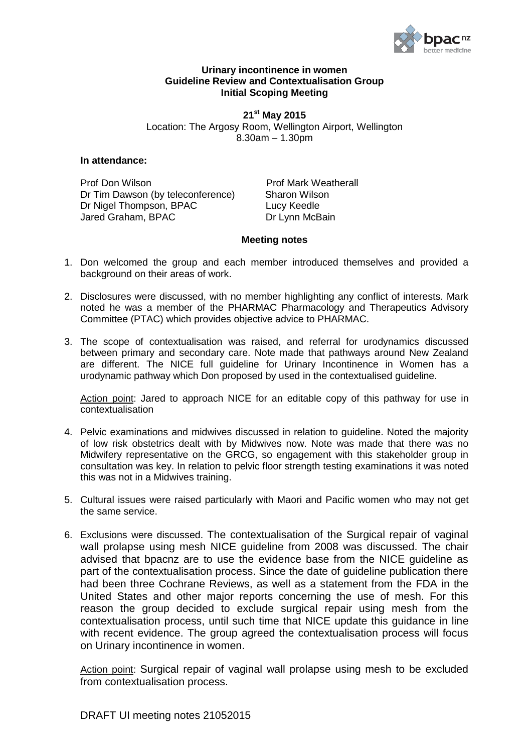

## **Urinary incontinence in women Guideline Review and Contextualisation Group Initial Scoping Meeting**

**21 st May 2015** Location: The Argosy Room, Wellington Airport, Wellington 8.30am – 1.30pm

## **In attendance:**

Prof Don Wilson Prof Mark Weatherall Dr Tim Dawson (by teleconference) Sharon Wilson Dr Nigel Thompson, BPAC Lucy Keedle Jared Graham, BPAC Dr Lynn McBain

## **Meeting notes**

- 1. Don welcomed the group and each member introduced themselves and provided a background on their areas of work.
- 2. Disclosures were discussed, with no member highlighting any conflict of interests. Mark noted he was a member of the PHARMAC Pharmacology and Therapeutics Advisory Committee (PTAC) which provides objective advice to PHARMAC.
- 3. The scope of contextualisation was raised, and referral for urodynamics discussed between primary and secondary care. Note made that pathways around New Zealand are different. The NICE full guideline for Urinary Incontinence in Women has a urodynamic pathway which Don proposed by used in the contextualised guideline.

Action point: Jared to approach NICE for an editable copy of this pathway for use in contextualisation

- 4. Pelvic examinations and midwives discussed in relation to guideline. Noted the majority of low risk obstetrics dealt with by Midwives now. Note was made that there was no Midwifery representative on the GRCG, so engagement with this stakeholder group in consultation was key. In relation to pelvic floor strength testing examinations it was noted this was not in a Midwives training.
- 5. Cultural issues were raised particularly with Maori and Pacific women who may not get the same service.
- 6. Exclusions were discussed. The contextualisation of the Surgical repair of vaginal wall prolapse using mesh NICE guideline from 2008 was discussed. The chair advised that bpacnz are to use the evidence base from the NICE guideline as part of the contextualisation process. Since the date of guideline publication there had been three Cochrane Reviews, as well as a statement from the FDA in the United States and other major reports concerning the use of mesh. For this reason the group decided to exclude surgical repair using mesh from the contextualisation process, until such time that NICE update this guidance in line with recent evidence. The group agreed the contextualisation process will focus on Urinary incontinence in women.

Action point: Surgical repair of vaginal wall prolapse using mesh to be excluded from contextualisation process.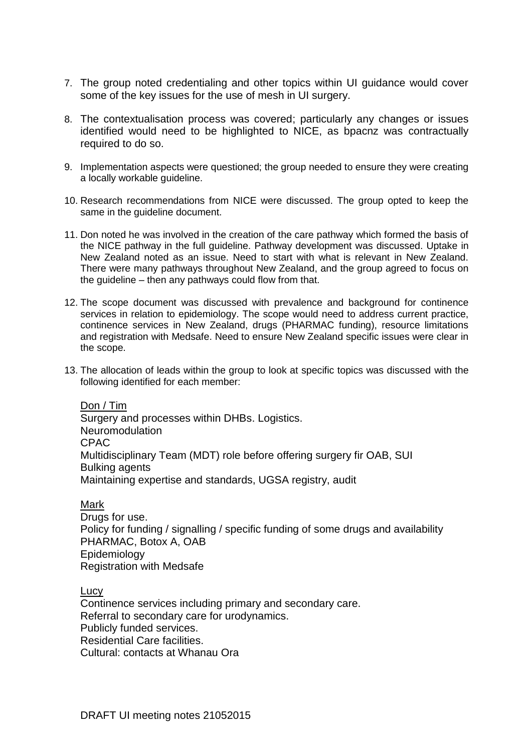- 7. The group noted credentialing and other topics within UI guidance would cover some of the key issues for the use of mesh in UI surgery.
- 8. The contextualisation process was covered; particularly any changes or issues identified would need to be highlighted to NICE, as bpacnz was contractually required to do so.
- 9. Implementation aspects were questioned; the group needed to ensure they were creating a locally workable guideline.
- 10. Research recommendations from NICE were discussed. The group opted to keep the same in the quideline document.
- 11. Don noted he was involved in the creation of the care pathway which formed the basis of the NICE pathway in the full guideline. Pathway development was discussed. Uptake in New Zealand noted as an issue. Need to start with what is relevant in New Zealand. There were many pathways throughout New Zealand, and the group agreed to focus on the guideline – then any pathways could flow from that.
- 12. The scope document was discussed with prevalence and background for continence services in relation to epidemiology. The scope would need to address current practice, continence services in New Zealand, drugs (PHARMAC funding), resource limitations and registration with Medsafe. Need to ensure New Zealand specific issues were clear in the scope.
- 13. The allocation of leads within the group to look at specific topics was discussed with the following identified for each member:

Don / Tim Surgery and processes within DHBs. Logistics. Neuromodulation CPAC Multidisciplinary Team (MDT) role before offering surgery fir OAB, SUI Bulking agents Maintaining expertise and standards, UGSA registry, audit

## Mark

Drugs for use. Policy for funding / signalling / specific funding of some drugs and availability PHARMAC, Botox A, OAB Epidemiology Registration with Medsafe

Lucy

Continence services including primary and secondary care. Referral to secondary care for urodynamics. Publicly funded services. Residential Care facilities. Cultural: contacts at Whanau Ora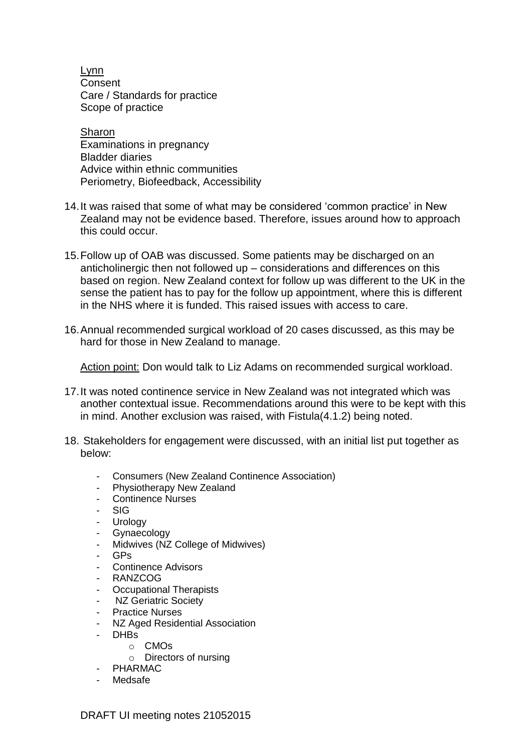Lynn **Consent** Care / Standards for practice Scope of practice

Sharon Examinations in pregnancy Bladder diaries Advice within ethnic communities Periometry, Biofeedback, Accessibility

- 14.It was raised that some of what may be considered 'common practice' in New Zealand may not be evidence based. Therefore, issues around how to approach this could occur.
- 15.Follow up of OAB was discussed. Some patients may be discharged on an anticholinergic then not followed up – considerations and differences on this based on region. New Zealand context for follow up was different to the UK in the sense the patient has to pay for the follow up appointment, where this is different in the NHS where it is funded. This raised issues with access to care.
- 16.Annual recommended surgical workload of 20 cases discussed, as this may be hard for those in New Zealand to manage.

Action point: Don would talk to Liz Adams on recommended surgical workload.

- 17.It was noted continence service in New Zealand was not integrated which was another contextual issue. Recommendations around this were to be kept with this in mind. Another exclusion was raised, with Fistula(4.1.2) being noted.
- 18. Stakeholders for engagement were discussed, with an initial list put together as below:
	- Consumers (New Zealand Continence Association)
	- Physiotherapy New Zealand
	- Continence Nurses
	- SIG
	- **Urology**
	- Gynaecology
	- Midwives (NZ College of Midwives)
	- GPs
	- Continence Advisors
	- RANZCO<sub>G</sub>
	- Occupational Therapists
	- NZ Geriatric Society
	- Practice Nurses
	- NZ Aged Residential Association
	- DHBs
		- o CMOs
		- o Directors of nursing
	- PHARMAC
	- Medsafe